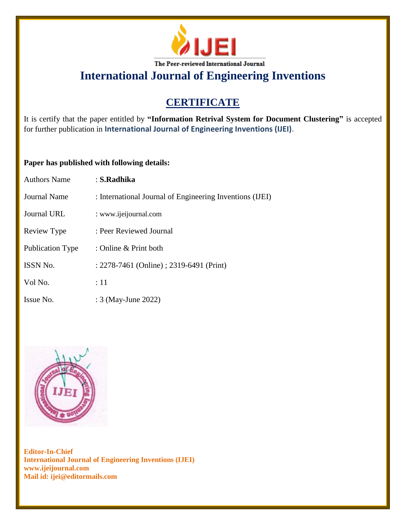

# **CERTIFICATE**

It is certify that the paper entitled by **"Information Retrival System for Document Clustering"** is accepted for further publication in **International Journal of Engineering Inventions (IJEI)**.

### **Paper has published with following details:**

| <b>Authors Name</b>     | : S.Radhika                                              |
|-------------------------|----------------------------------------------------------|
| <b>Journal Name</b>     | : International Journal of Engineering Inventions (IJEI) |
| Journal URL             | : www.ijeijournal.com                                    |
| Review Type             | : Peer Reviewed Journal                                  |
| <b>Publication Type</b> | : Online & Print both                                    |
| ISSN No.                | : 2278-7461 (Online) ; 2319-6491 (Print)                 |
| Vol No.                 | $\div 11$                                                |
| Issue No.               | : 3 (May-June 2022)                                      |

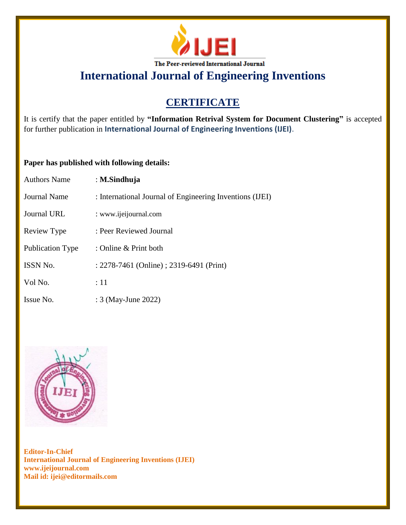

# **CERTIFICATE**

It is certify that the paper entitled by **"Information Retrival System for Document Clustering"** is accepted for further publication in **International Journal of Engineering Inventions (IJEI)**.

### **Paper has published with following details:**

| <b>Authors Name</b> | : M.Sindhuja                                             |
|---------------------|----------------------------------------------------------|
| <b>Journal Name</b> | : International Journal of Engineering Inventions (IJEI) |
| <b>Journal URL</b>  | : www.ijeijournal.com                                    |
| Review Type         | : Peer Reviewed Journal                                  |
| Publication Type    | : Online & Print both                                    |
| ISSN No.            | : 2278-7461 (Online) ; 2319-6491 (Print)                 |
| Vol No.             | :11                                                      |
| Issue No.           | : 3 (May-June 2022)                                      |

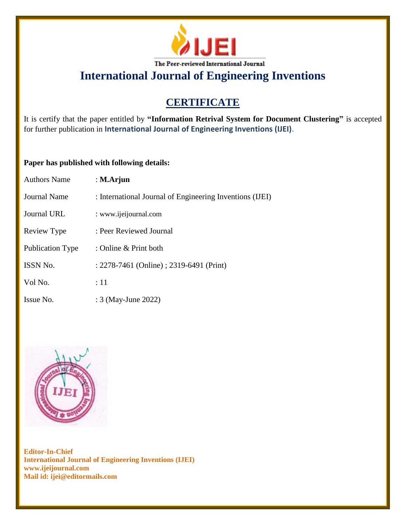

# **CERTIFICATE**

It is certify that the paper entitled by **"Information Retrival System for Document Clustering"** is accepted for further publication in **International Journal of Engineering Inventions (IJEI)**.

### **Paper has published with following details:**

| <b>Authors Name</b>     | : $M.A$ rjun                                             |
|-------------------------|----------------------------------------------------------|
| <b>Journal Name</b>     | : International Journal of Engineering Inventions (IJEI) |
| <b>Journal URL</b>      | : www.ijeijournal.com                                    |
| Review Type             | : Peer Reviewed Journal                                  |
| <b>Publication Type</b> | : Online & Print both                                    |
| ISSN No.                | : 2278-7461 (Online) ; 2319-6491 (Print)                 |
| Vol No.                 | $\div 11$                                                |
| Issue No.               | : 3 (May-June 2022)                                      |

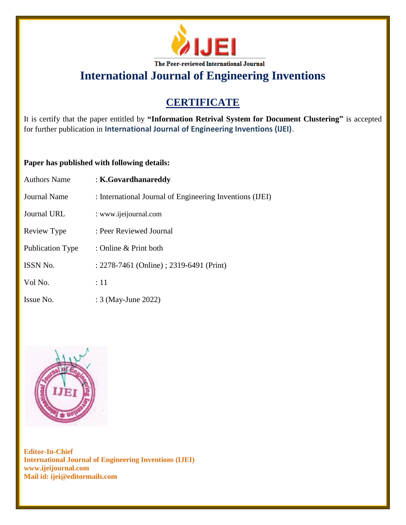

# **CERTIFICATE**

It is certify that the paper entitled by **"Information Retrival System for Document Clustering"** is accepted for further publication in **International Journal of Engineering Inventions (IJEI)**.

### **Paper has published with following details:**

| Authors Name            | : K.Govardhanareddy                                      |
|-------------------------|----------------------------------------------------------|
| Journal Name            | : International Journal of Engineering Inventions (IJEI) |
| Journal URL             | : www.ijeijournal.com                                    |
| Review Type             | : Peer Reviewed Journal                                  |
| <b>Publication Type</b> | : Online & Print both                                    |
| <b>ISSN No.</b>         | : 2278-7461 (Online) ; 2319-6491 (Print)                 |
| Vol No.                 | :11                                                      |
| Issue No.               | : 3 (May-June 2022)                                      |